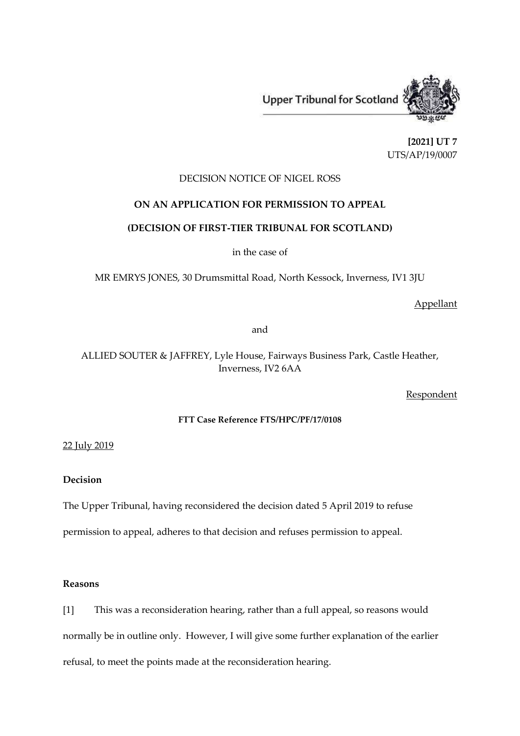

**[2021] UT 7** UTS/AP/19/0007

# DECISION NOTICE OF NIGEL ROSS

## **ON AN APPLICATION FOR PERMISSION TO APPEAL**

#### **(DECISION OF FIRST-TIER TRIBUNAL FOR SCOTLAND)**

in the case of

MR EMRYS JONES, 30 Drumsmittal Road, North Kessock, Inverness, IV1 3JU

Appellant

and

ALLIED SOUTER & JAFFREY, Lyle House, Fairways Business Park, Castle Heather, Inverness, IV2 6AA

**Respondent** 

#### **FTT Case Reference FTS/HPC/PF/17/0108**

22 July 2019

## **Decision**

The Upper Tribunal, having reconsidered the decision dated 5 April 2019 to refuse

permission to appeal, adheres to that decision and refuses permission to appeal.

### **Reasons**

[1] This was a reconsideration hearing, rather than a full appeal, so reasons would normally be in outline only. However, I will give some further explanation of the earlier refusal, to meet the points made at the reconsideration hearing.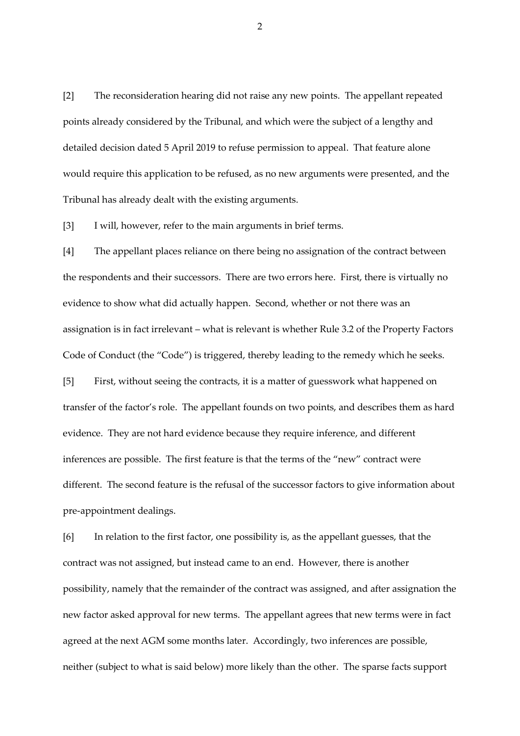[2] The reconsideration hearing did not raise any new points. The appellant repeated points already considered by the Tribunal, and which were the subject of a lengthy and detailed decision dated 5 April 2019 to refuse permission to appeal. That feature alone would require this application to be refused, as no new arguments were presented, and the Tribunal has already dealt with the existing arguments.

[3] I will, however, refer to the main arguments in brief terms.

[4] The appellant places reliance on there being no assignation of the contract between the respondents and their successors. There are two errors here. First, there is virtually no evidence to show what did actually happen. Second, whether or not there was an assignation is in fact irrelevant – what is relevant is whether Rule 3.2 of the Property Factors Code of Conduct (the "Code") is triggered, thereby leading to the remedy which he seeks.

[5] First, without seeing the contracts, it is a matter of guesswork what happened on transfer of the factor's role. The appellant founds on two points, and describes them as hard evidence. They are not hard evidence because they require inference, and different inferences are possible. The first feature is that the terms of the "new" contract were different. The second feature is the refusal of the successor factors to give information about pre-appointment dealings.

[6] In relation to the first factor, one possibility is, as the appellant guesses, that the contract was not assigned, but instead came to an end. However, there is another possibility, namely that the remainder of the contract was assigned, and after assignation the new factor asked approval for new terms. The appellant agrees that new terms were in fact agreed at the next AGM some months later. Accordingly, two inferences are possible, neither (subject to what is said below) more likely than the other. The sparse facts support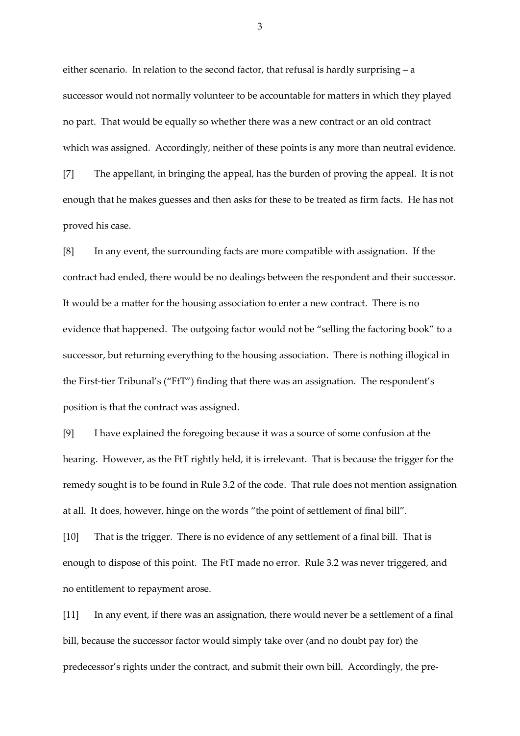either scenario. In relation to the second factor, that refusal is hardly surprising – a successor would not normally volunteer to be accountable for matters in which they played no part. That would be equally so whether there was a new contract or an old contract which was assigned. Accordingly, neither of these points is any more than neutral evidence.

[7] The appellant, in bringing the appeal, has the burden of proving the appeal. It is not enough that he makes guesses and then asks for these to be treated as firm facts. He has not proved his case.

[8] In any event, the surrounding facts are more compatible with assignation. If the contract had ended, there would be no dealings between the respondent and their successor. It would be a matter for the housing association to enter a new contract. There is no evidence that happened. The outgoing factor would not be "selling the factoring book" to a successor, but returning everything to the housing association. There is nothing illogical in the First-tier Tribunal's ("FtT") finding that there was an assignation. The respondent's position is that the contract was assigned.

[9] I have explained the foregoing because it was a source of some confusion at the hearing. However, as the FtT rightly held, it is irrelevant. That is because the trigger for the remedy sought is to be found in Rule 3.2 of the code. That rule does not mention assignation at all. It does, however, hinge on the words "the point of settlement of final bill".

[10] That is the trigger. There is no evidence of any settlement of a final bill. That is enough to dispose of this point. The FtT made no error. Rule 3.2 was never triggered, and no entitlement to repayment arose.

[11] In any event, if there was an assignation, there would never be a settlement of a final bill, because the successor factor would simply take over (and no doubt pay for) the predecessor's rights under the contract, and submit their own bill. Accordingly, the pre-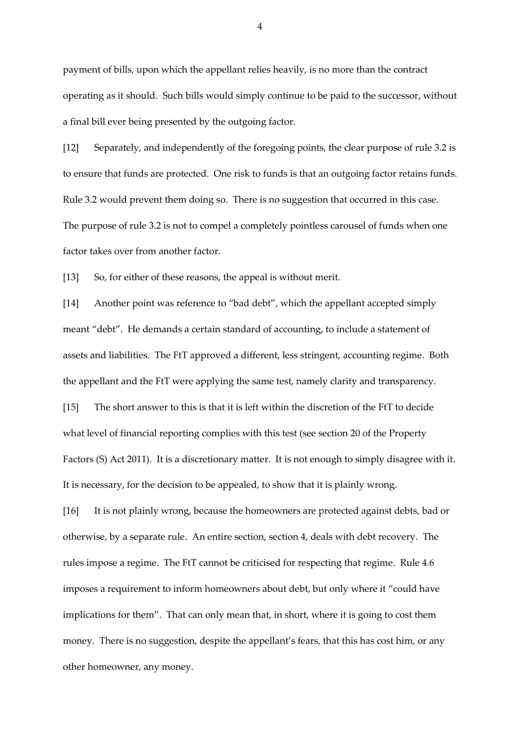payment of bills, upon which the appellant relies heavily, is no more than the contract operating as it should. Such bills would simply continue to be paid to the successor, without a final bill ever being presented by the outgoing factor.

[12] Separately, and independently of the foregoing points, the clear purpose of rule 3.2 is to ensure that funds are protected. One risk to funds is that an outgoing factor retains funds. Rule 3.2 would prevent them doing so. There is no suggestion that occurred in this case. The purpose of rule 3.2 is not to compel a completely pointless carousel of funds when one factor takes over from another factor.

[13] So, for either of these reasons, the appeal is without merit.

[14] Another point was reference to "bad debt", which the appellant accepted simply meant "debt". He demands a certain standard of accounting, to include a statement of assets and liabilities. The FtT approved a different, less stringent, accounting regime. Both the appellant and the FtT were applying the same test, namely clarity and transparency.

[15] The short answer to this is that it is left within the discretion of the FtT to decide what level of financial reporting complies with this test (see section 20 of the Property Factors (S) Act 2011). It is a discretionary matter. It is not enough to simply disagree with it. It is necessary, for the decision to be appealed, to show that it is plainly wrong.

[16] It is not plainly wrong, because the homeowners are protected against debts, bad or otherwise, by a separate rule. An entire section, section 4, deals with debt recovery. The rules impose a regime. The FtT cannot be criticised for respecting that regime. Rule 4.6 imposes a requirement to inform homeowners about debt, but only where it "could have implications for them". That can only mean that, in short, where it is going to cost them money. There is no suggestion, despite the appellant's fears, that this has cost him, or any other homeowner, any money.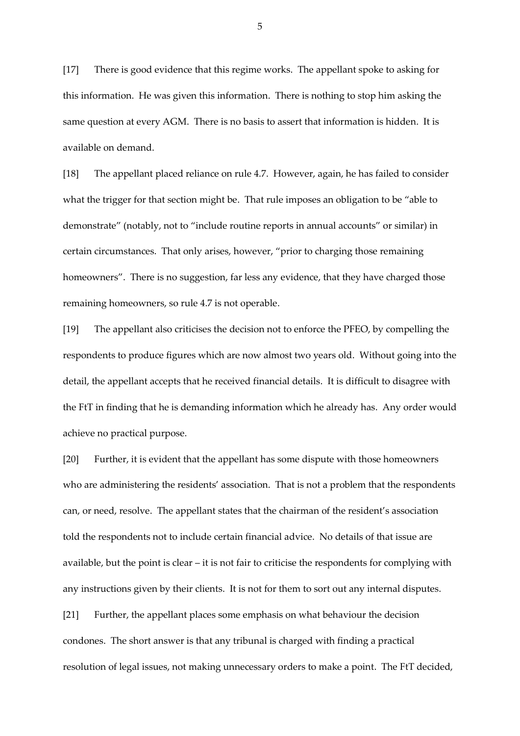[17] There is good evidence that this regime works. The appellant spoke to asking for this information. He was given this information. There is nothing to stop him asking the same question at every AGM. There is no basis to assert that information is hidden. It is available on demand.

[18] The appellant placed reliance on rule 4.7. However, again, he has failed to consider what the trigger for that section might be. That rule imposes an obligation to be "able to demonstrate" (notably, not to "include routine reports in annual accounts" or similar) in certain circumstances. That only arises, however, "prior to charging those remaining homeowners". There is no suggestion, far less any evidence, that they have charged those remaining homeowners, so rule 4.7 is not operable.

[19] The appellant also criticises the decision not to enforce the PFEO, by compelling the respondents to produce figures which are now almost two years old. Without going into the detail, the appellant accepts that he received financial details. It is difficult to disagree with the FtT in finding that he is demanding information which he already has. Any order would achieve no practical purpose.

[20] Further, it is evident that the appellant has some dispute with those homeowners who are administering the residents' association. That is not a problem that the respondents can, or need, resolve. The appellant states that the chairman of the resident's association told the respondents not to include certain financial advice. No details of that issue are available, but the point is clear – it is not fair to criticise the respondents for complying with any instructions given by their clients. It is not for them to sort out any internal disputes. [21] Further, the appellant places some emphasis on what behaviour the decision condones. The short answer is that any tribunal is charged with finding a practical resolution of legal issues, not making unnecessary orders to make a point. The FtT decided,